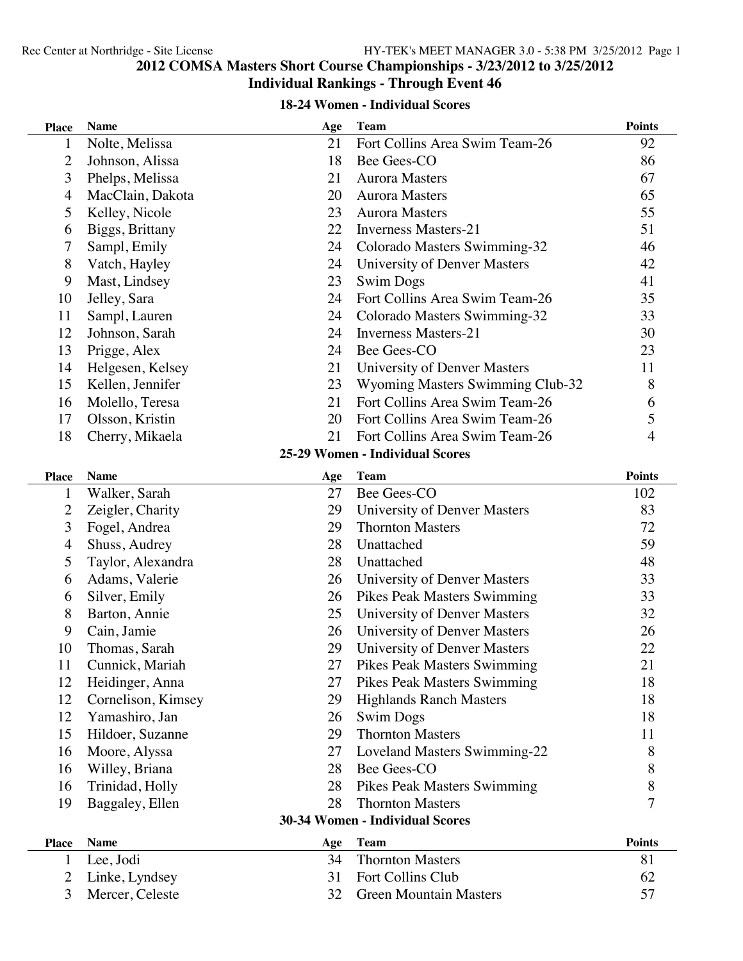### **COMSA Masters Short Course Championships - 3/23/2012 to 3/25/2012 Individual Rankings - Through Event 46**

#### **18-24 Women - Individual Scores**

| <b>Place</b>   | <b>Name</b>                     | Age | <b>Team</b>                        | <b>Points</b> |  |
|----------------|---------------------------------|-----|------------------------------------|---------------|--|
| 1              | Nolte, Melissa                  | 21  | Fort Collins Area Swim Team-26     | 92            |  |
| $\overline{2}$ | Johnson, Alissa                 | 18  | Bee Gees-CO                        | 86            |  |
| 3              | Phelps, Melissa                 | 21  | <b>Aurora Masters</b>              | 67            |  |
| 4              | MacClain, Dakota                | 20  | <b>Aurora Masters</b>              | 65            |  |
| 5              | Kelley, Nicole                  | 23  | <b>Aurora Masters</b>              | 55            |  |
| 6              | Biggs, Brittany                 | 22  | <b>Inverness Masters-21</b>        | 51            |  |
| 7              | Sampl, Emily                    | 24  | Colorado Masters Swimming-32       | 46            |  |
| 8              | Vatch, Hayley                   | 24  | University of Denver Masters       | 42            |  |
| 9              | Mast, Lindsey                   | 23  | <b>Swim Dogs</b>                   | 41            |  |
| 10             | Jelley, Sara                    | 24  | Fort Collins Area Swim Team-26     | 35            |  |
| 11             | Sampl, Lauren                   | 24  | Colorado Masters Swimming-32       | 33            |  |
| 12             | Johnson, Sarah                  | 24  | <b>Inverness Masters-21</b>        | 30            |  |
| 13             | Prigge, Alex                    | 24  | Bee Gees-CO                        | 23            |  |
| 14             | Helgesen, Kelsey                | 21  | University of Denver Masters       | 11            |  |
| 15             | Kellen, Jennifer                | 23  | Wyoming Masters Swimming Club-32   | 8             |  |
| 16             | Molello, Teresa                 | 21  | Fort Collins Area Swim Team-26     | 6             |  |
| 17             | Olsson, Kristin                 | 20  | Fort Collins Area Swim Team-26     | 5             |  |
| 18             | Cherry, Mikaela                 | 21  | Fort Collins Area Swim Team-26     | 4             |  |
|                |                                 |     | 25-29 Women - Individual Scores    |               |  |
| <b>Place</b>   | <b>Name</b>                     | Age | <b>Team</b>                        | <b>Points</b> |  |
| 1              | Walker, Sarah                   | 27  | Bee Gees-CO                        | 102           |  |
| $\overline{2}$ | Zeigler, Charity                | 29  | University of Denver Masters       | 83            |  |
| 3              | Fogel, Andrea                   | 29  | <b>Thornton Masters</b>            | 72            |  |
| 4              | Shuss, Audrey                   | 28  | Unattached                         | 59            |  |
| 5              | Taylor, Alexandra               | 28  | Unattached                         | 48            |  |
| 6              | Adams, Valerie                  | 26  | University of Denver Masters       | 33            |  |
| 6              | Silver, Emily                   | 26  | Pikes Peak Masters Swimming        | 33            |  |
| 8              | Barton, Annie                   | 25  | University of Denver Masters       | 32            |  |
| 9              | Cain, Jamie                     | 26  | University of Denver Masters       | 26            |  |
| 10             | Thomas, Sarah                   | 29  | University of Denver Masters       | 22            |  |
| 11             | Cunnick, Mariah                 | 27  | <b>Pikes Peak Masters Swimming</b> | 21            |  |
| 12             | Heidinger, Anna                 | 27  | Pikes Peak Masters Swimming        | 18            |  |
| 12             | Cornelison, Kimsey              | 29  | <b>Highlands Ranch Masters</b>     | 18            |  |
| 12             | Yamashiro, Jan                  | 26  | <b>Swim Dogs</b>                   | 18            |  |
| 15             | Hildoer, Suzanne                | 29  | <b>Thornton Masters</b>            | 11            |  |
| 16             | Moore, Alyssa                   | 27  | Loveland Masters Swimming-22       | 8             |  |
| 16             | Willey, Briana                  | 28  | Bee Gees-CO                        | 8             |  |
| 16             | Trinidad, Holly                 | 28  | Pikes Peak Masters Swimming        | 8             |  |
| 19             | Baggaley, Ellen                 | 28  | <b>Thornton Masters</b>            | 7             |  |
|                | 30-34 Women - Individual Scores |     |                                    |               |  |
| <b>Place</b>   | <b>Name</b>                     | Age | <b>Team</b>                        | <b>Points</b> |  |
| 1              | Lee, Jodi                       | 34  | <b>Thornton Masters</b>            | 81            |  |
| $\overline{2}$ | Linke, Lyndsey                  | 31  | Fort Collins Club                  | 62            |  |
| 3              | Mercer, Celeste                 | 32  | <b>Green Mountain Masters</b>      | 57            |  |
|                |                                 |     |                                    |               |  |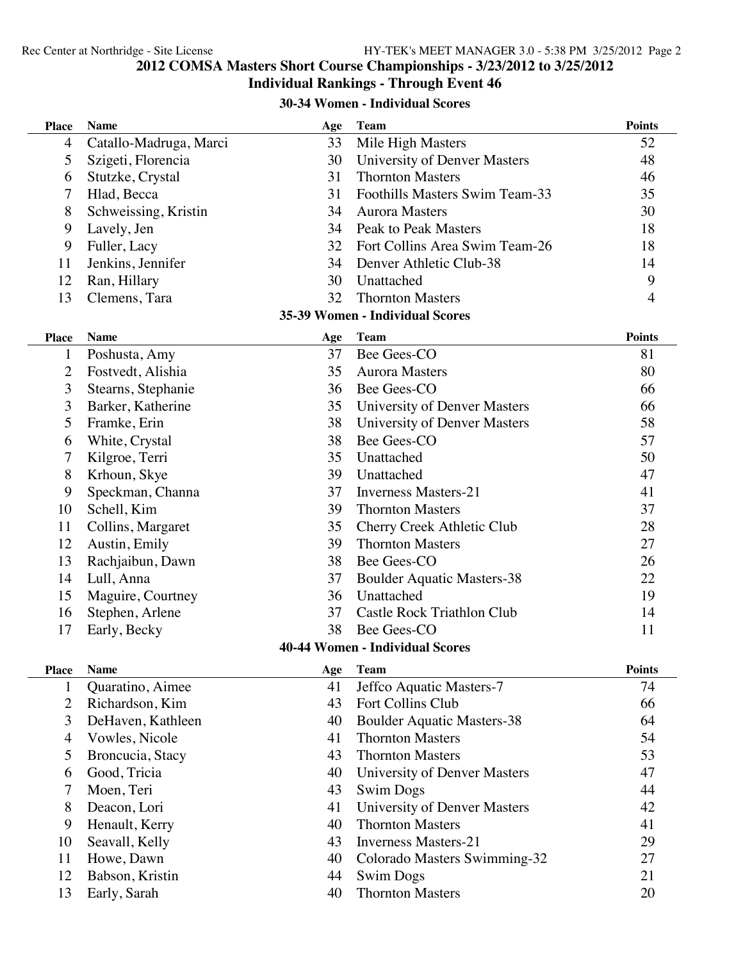### **COMSA Masters Short Course Championships - 3/23/2012 to 3/25/2012**

# **Individual Rankings - Through Event 46**

### **30-34 Women - Individual Scores**

| <b>Place</b>   | <b>Name</b>            | Age | <b>Team</b>                            | <b>Points</b>  |
|----------------|------------------------|-----|----------------------------------------|----------------|
| $\overline{4}$ | Catallo-Madruga, Marci | 33  | Mile High Masters                      | 52             |
| 5              | Szigeti, Florencia     | 30  | University of Denver Masters           | 48             |
| 6              | Stutzke, Crystal       | 31  | <b>Thornton Masters</b>                | 46             |
| 7              | Hlad, Becca            | 31  | Foothills Masters Swim Team-33         | 35             |
| 8              | Schweissing, Kristin   | 34  | <b>Aurora Masters</b>                  | 30             |
| 9              | Lavely, Jen            | 34  | Peak to Peak Masters                   | 18             |
| 9              | Fuller, Lacy           | 32  | Fort Collins Area Swim Team-26         | 18             |
| 11             | Jenkins, Jennifer      | 34  | Denver Athletic Club-38                | 14             |
| 12             | Ran, Hillary           | 30  | Unattached                             | 9              |
| 13             | Clemens, Tara          | 32  | <b>Thornton Masters</b>                | $\overline{4}$ |
|                |                        |     | 35-39 Women - Individual Scores        |                |
| <b>Place</b>   | <b>Name</b>            | Age | <b>Team</b>                            | <b>Points</b>  |
| $\mathbf{1}$   | Poshusta, Amy          | 37  | Bee Gees-CO                            | 81             |
| $\overline{2}$ | Fostvedt, Alishia      | 35  | <b>Aurora Masters</b>                  | 80             |
| 3              | Stearns, Stephanie     | 36  | Bee Gees-CO                            | 66             |
| 3              | Barker, Katherine      | 35  | University of Denver Masters           | 66             |
| 5              | Framke, Erin           | 38  | University of Denver Masters           | 58             |
| 6              | White, Crystal         | 38  | Bee Gees-CO                            | 57             |
| 7              | Kilgroe, Terri         | 35  | Unattached                             | 50             |
| 8              | Krhoun, Skye           | 39  | Unattached                             | 47             |
| 9              | Speckman, Channa       | 37  | <b>Inverness Masters-21</b>            | 41             |
| 10             | Schell, Kim            | 39  | <b>Thornton Masters</b>                | 37             |
| 11             | Collins, Margaret      | 35  | Cherry Creek Athletic Club             | 28             |
| 12             | Austin, Emily          | 39  | <b>Thornton Masters</b>                | 27             |
| 13             | Rachjaibun, Dawn       | 38  | Bee Gees-CO                            | 26             |
| 14             | Lull, Anna             | 37  | <b>Boulder Aquatic Masters-38</b>      | 22             |
| 15             | Maguire, Courtney      | 36  | Unattached                             | 19             |
| 16             | Stephen, Arlene        | 37  | Castle Rock Triathlon Club             | 14             |
| 17             | Early, Becky           | 38  | Bee Gees-CO                            | 11             |
|                |                        |     | <b>40-44 Women - Individual Scores</b> |                |
| <b>Place</b>   | <b>Name</b>            | Age | Team                                   | <b>Points</b>  |
| $\mathbf{1}$   | Quaratino, Aimee       | 41  | Jeffco Aquatic Masters-7               | 74             |
| 2              | Richardson, Kim        | 43  | <b>Fort Collins Club</b>               | 66             |
| 3              | DeHaven, Kathleen      | 40  | <b>Boulder Aquatic Masters-38</b>      | 64             |
| $\overline{4}$ | Vowles, Nicole         | 41  | <b>Thornton Masters</b>                | 54             |
| 5              | Broncucia, Stacy       | 43  | <b>Thornton Masters</b>                | 53             |
| 6              | Good, Tricia           | 40  | University of Denver Masters           | 47             |
| 7              | Moen, Teri             | 43  | <b>Swim Dogs</b>                       | 44             |
| 8              | Deacon, Lori           | 41  | University of Denver Masters           | 42             |
| 9              | Henault, Kerry         | 40  | <b>Thornton Masters</b>                | 41             |
| 10             | Seavall, Kelly         | 43  | <b>Inverness Masters-21</b>            | 29             |
| 11             | Howe, Dawn             | 40  | Colorado Masters Swimming-32           | 27             |
| 12             | Babson, Kristin        | 44  | <b>Swim Dogs</b>                       | 21             |
| 13             | Early, Sarah           | 40  | <b>Thornton Masters</b>                | 20             |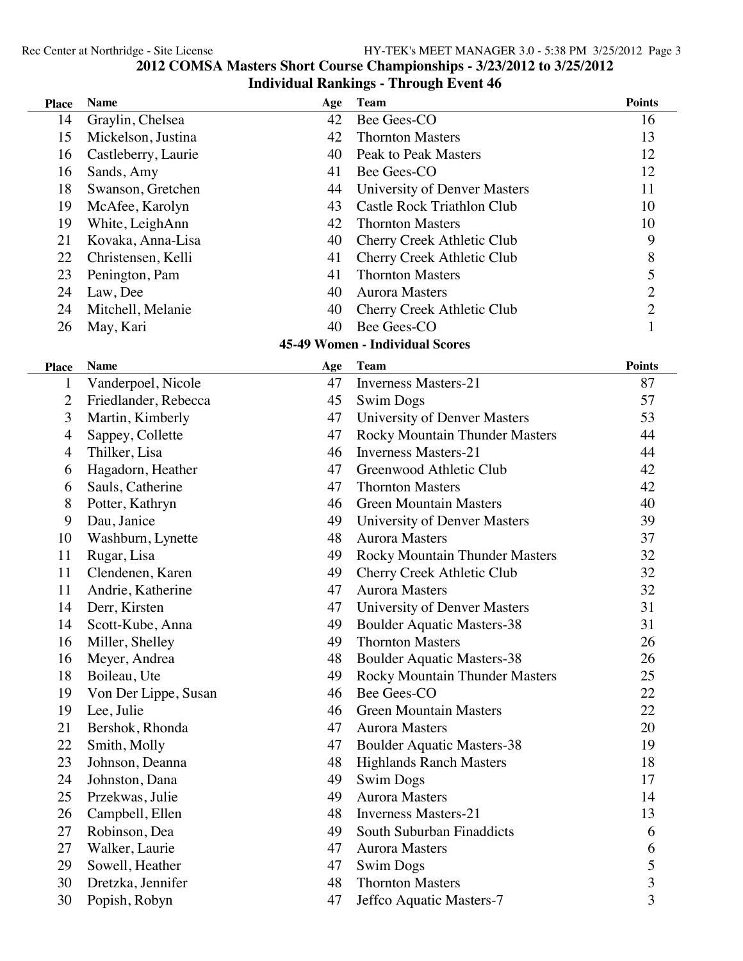### **COMSA Masters Short Course Championships - 3/23/2012 to 3/25/2012 Individual Rankings - Through Event 46**

| Thaividual Kankings - Through Event 40 |                      |     |                                        |                                            |  |  |
|----------------------------------------|----------------------|-----|----------------------------------------|--------------------------------------------|--|--|
| <b>Place</b>                           | <b>Name</b>          | Age | <b>Team</b>                            | <b>Points</b>                              |  |  |
| 14                                     | Graylin, Chelsea     | 42  | Bee Gees-CO                            | 16                                         |  |  |
| 15                                     | Mickelson, Justina   | 42  | <b>Thornton Masters</b>                | 13                                         |  |  |
| 16                                     | Castleberry, Laurie  | 40  | <b>Peak to Peak Masters</b>            | 12                                         |  |  |
| 16                                     | Sands, Amy           | 41  | Bee Gees-CO                            | 12                                         |  |  |
| 18                                     | Swanson, Gretchen    | 44  | University of Denver Masters           | 11                                         |  |  |
| 19                                     | McAfee, Karolyn      | 43  | <b>Castle Rock Triathlon Club</b>      | 10                                         |  |  |
| 19                                     | White, LeighAnn      | 42  | <b>Thornton Masters</b>                | 10                                         |  |  |
| 21                                     | Kovaka, Anna-Lisa    | 40  | Cherry Creek Athletic Club             | 9                                          |  |  |
| 22                                     | Christensen, Kelli   | 41  | Cherry Creek Athletic Club             | $\, 8$                                     |  |  |
| 23                                     | Penington, Pam       | 41  | <b>Thornton Masters</b>                | 5                                          |  |  |
| 24                                     | Law, Dee             | 40  | <b>Aurora Masters</b>                  |                                            |  |  |
| 24                                     | Mitchell, Melanie    | 40  | Cherry Creek Athletic Club             | $\begin{array}{c} 2 \\ 2 \\ 1 \end{array}$ |  |  |
| 26                                     | May, Kari            | 40  | Bee Gees-CO                            |                                            |  |  |
|                                        |                      |     | <b>45-49 Women - Individual Scores</b> |                                            |  |  |
| <b>Place</b>                           | <b>Name</b>          | Age | <b>Team</b>                            | <b>Points</b>                              |  |  |
| 1                                      | Vanderpoel, Nicole   | 47  | <b>Inverness Masters-21</b>            | 87                                         |  |  |
| 2                                      | Friedlander, Rebecca | 45  | <b>Swim Dogs</b>                       | 57                                         |  |  |
| 3                                      | Martin, Kimberly     | 47  | University of Denver Masters           | 53                                         |  |  |
| 4                                      | Sappey, Collette     | 47  | <b>Rocky Mountain Thunder Masters</b>  | 44                                         |  |  |
| 4                                      | Thilker, Lisa        | 46  | <b>Inverness Masters-21</b>            | 44                                         |  |  |
| 6                                      | Hagadorn, Heather    | 47  | Greenwood Athletic Club                | 42                                         |  |  |
| 6                                      | Sauls, Catherine     | 47  | <b>Thornton Masters</b>                | 42                                         |  |  |
| 8                                      | Potter, Kathryn      | 46  | <b>Green Mountain Masters</b>          | 40                                         |  |  |
| 9                                      | Dau, Janice          | 49  | University of Denver Masters           | 39                                         |  |  |
| 10                                     | Washburn, Lynette    | 48  | <b>Aurora Masters</b>                  | 37                                         |  |  |
| 11                                     | Rugar, Lisa          | 49  | <b>Rocky Mountain Thunder Masters</b>  | 32                                         |  |  |
| 11                                     | Clendenen, Karen     | 49  | Cherry Creek Athletic Club             | 32                                         |  |  |
| 11                                     | Andrie, Katherine    | 47  | <b>Aurora Masters</b>                  | 32                                         |  |  |
| 14                                     | Derr, Kirsten        | 47  | University of Denver Masters           | 31                                         |  |  |
| 14                                     | Scott-Kube, Anna     | 49  | <b>Boulder Aquatic Masters-38</b>      | 31                                         |  |  |
| 16                                     | Miller, Shelley      | 49  | <b>Thornton Masters</b>                | 26                                         |  |  |
| 16                                     | Meyer, Andrea        | 48  | <b>Boulder Aquatic Masters-38</b>      | 26                                         |  |  |
| 18                                     | Boileau, Ute         | 49  | <b>Rocky Mountain Thunder Masters</b>  | 25                                         |  |  |
| 19                                     | Von Der Lippe, Susan | 46  | Bee Gees-CO                            | 22                                         |  |  |
| 19                                     | Lee, Julie           | 46  | <b>Green Mountain Masters</b>          | 22                                         |  |  |
| 21                                     | Bershok, Rhonda      | 47  | <b>Aurora Masters</b>                  | 20                                         |  |  |
| 22                                     | Smith, Molly         | 47  | <b>Boulder Aquatic Masters-38</b>      | 19                                         |  |  |
| 23                                     | Johnson, Deanna      | 48  | <b>Highlands Ranch Masters</b>         | 18                                         |  |  |
| 24                                     | Johnston, Dana       | 49  | <b>Swim Dogs</b>                       | 17                                         |  |  |
| 25                                     | Przekwas, Julie      | 49  | <b>Aurora Masters</b>                  | 14                                         |  |  |
| 26                                     | Campbell, Ellen      | 48  | <b>Inverness Masters-21</b>            | 13                                         |  |  |
| 27                                     | Robinson, Dea        | 49  | South Suburban Finaddicts              | 6                                          |  |  |
| 27                                     | Walker, Laurie       | 47  | <b>Aurora Masters</b>                  | 6                                          |  |  |
| 29                                     | Sowell, Heather      | 47  | <b>Swim Dogs</b>                       | 5                                          |  |  |
| 30                                     | Dretzka, Jennifer    | 48  | <b>Thornton Masters</b>                | 3                                          |  |  |

Popish, Robyn 47 Jeffco Aquatic Masters-7 3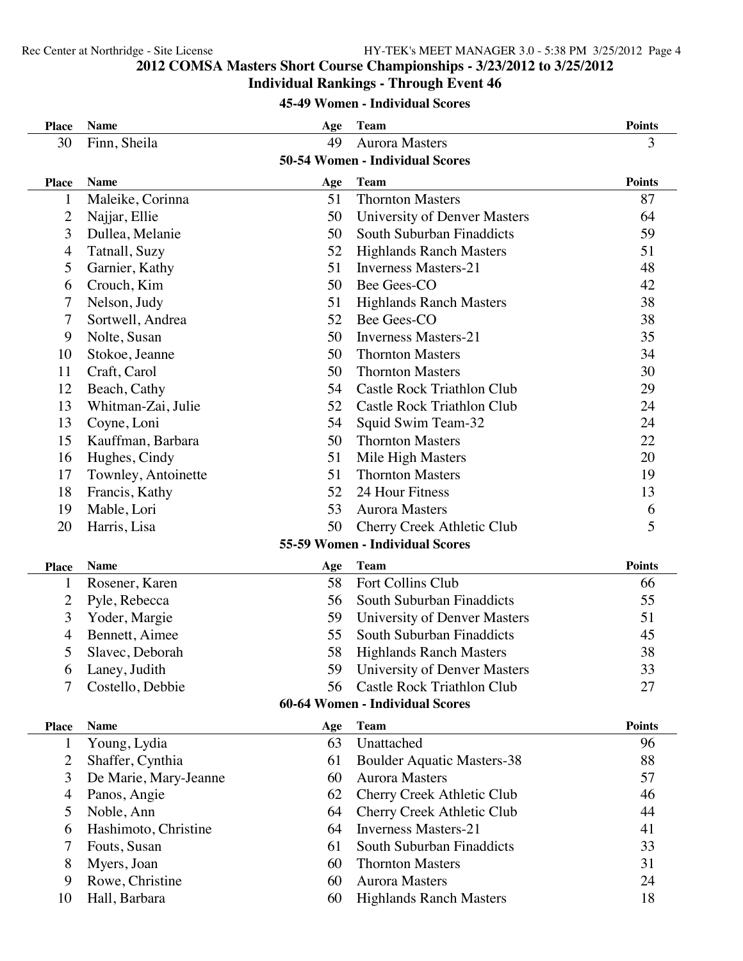# **COMSA Masters Short Course Championships - 3/23/2012 to 3/25/2012**

### **Individual Rankings - Through Event 46**

### **45-49 Women - Individual Scores**

| <b>Place</b>   | <b>Name</b>                     | Age | <b>Team</b>                       | <b>Points</b> |  |
|----------------|---------------------------------|-----|-----------------------------------|---------------|--|
| 30             | Finn, Sheila                    | 49  | <b>Aurora Masters</b>             | 3             |  |
|                | 50-54 Women - Individual Scores |     |                                   |               |  |
| <b>Place</b>   | <b>Name</b>                     | Age | <b>Team</b>                       | <b>Points</b> |  |
| 1              | Maleike, Corinna                | 51  | <b>Thornton Masters</b>           | 87            |  |
| $\overline{2}$ | Najjar, Ellie                   | 50  | University of Denver Masters      | 64            |  |
| 3              | Dullea, Melanie                 | 50  | South Suburban Finaddicts         | 59            |  |
| $\overline{4}$ | Tatnall, Suzy                   | 52  | <b>Highlands Ranch Masters</b>    | 51            |  |
| 5              | Garnier, Kathy                  | 51  | <b>Inverness Masters-21</b>       | 48            |  |
| 6              | Crouch, Kim                     | 50  | Bee Gees-CO                       | 42            |  |
| 7              | Nelson, Judy                    | 51  | <b>Highlands Ranch Masters</b>    | 38            |  |
| 7              | Sortwell, Andrea                | 52  | Bee Gees-CO                       | 38            |  |
| 9              | Nolte, Susan                    | 50  | <b>Inverness Masters-21</b>       | 35            |  |
| 10             | Stokoe, Jeanne                  | 50  | <b>Thornton Masters</b>           | 34            |  |
| 11             | Craft, Carol                    | 50  | <b>Thornton Masters</b>           | 30            |  |
| 12             | Beach, Cathy                    | 54  | Castle Rock Triathlon Club        | 29            |  |
| 13             | Whitman-Zai, Julie              | 52  | <b>Castle Rock Triathlon Club</b> | 24            |  |
| 13             | Coyne, Loni                     | 54  | Squid Swim Team-32                | 24            |  |
| 15             | Kauffman, Barbara               | 50  | <b>Thornton Masters</b>           | 22            |  |
| 16             | Hughes, Cindy                   | 51  | Mile High Masters                 | 20            |  |
| 17             | Townley, Antoinette             | 51  | <b>Thornton Masters</b>           | 19            |  |
| 18             | Francis, Kathy                  | 52  | 24 Hour Fitness                   | 13            |  |
| 19             | Mable, Lori                     | 53  | <b>Aurora Masters</b>             | 6             |  |
| 20             | Harris, Lisa                    | 50  | Cherry Creek Athletic Club        | 5             |  |
|                |                                 |     | 55-59 Women - Individual Scores   |               |  |
| <b>Place</b>   | <b>Name</b>                     | Age | Team                              | <b>Points</b> |  |
| 1              | Rosener, Karen                  | 58  | Fort Collins Club                 | 66            |  |
| 2              | Pyle, Rebecca                   | 56  | South Suburban Finaddicts         | 55            |  |
| 3              | Yoder, Margie                   | 59  | University of Denver Masters      | 51            |  |
| 4              | Bennett, Aimee                  | 55  | South Suburban Finaddicts         | 45            |  |
| 5              | Slavec, Deborah                 | 58  | <b>Highlands Ranch Masters</b>    | 38            |  |
| 6              | Laney, Judith                   | 59  | University of Denver Masters      | 33            |  |
| 7              | Costello, Debbie                | 56  | <b>Castle Rock Triathlon Club</b> | 27            |  |
|                | 60-64 Women - Individual Scores |     |                                   |               |  |
| <b>Place</b>   | <b>Name</b>                     | Age | <b>Team</b>                       | <b>Points</b> |  |
| 1              | Young, Lydia                    | 63  | Unattached                        | 96            |  |
| 2              | Shaffer, Cynthia                | 61  | <b>Boulder Aquatic Masters-38</b> | 88            |  |
| 3              | De Marie, Mary-Jeanne           | 60  | <b>Aurora Masters</b>             | 57            |  |
| $\overline{4}$ | Panos, Angie                    | 62  | Cherry Creek Athletic Club        | 46            |  |
| 5              | Noble, Ann                      | 64  | Cherry Creek Athletic Club        | 44            |  |
| 6              | Hashimoto, Christine            | 64  | <b>Inverness Masters-21</b>       | 41            |  |
| 7              | Fouts, Susan                    | 61  | South Suburban Finaddicts         | 33            |  |
| 8              | Myers, Joan                     | 60  | <b>Thornton Masters</b>           | 31            |  |
| 9              | Rowe, Christine                 | 60  | <b>Aurora Masters</b>             | 24            |  |
| 10             | Hall, Barbara                   | 60  | <b>Highlands Ranch Masters</b>    | 18            |  |